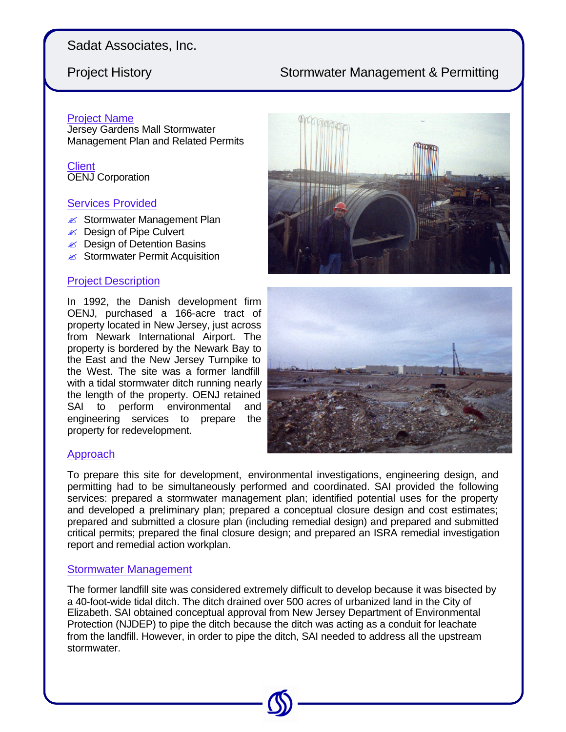## Sadat Associates, Inc.

# Project History **Stormwater Management & Permitting**

### Project Name

Jersey Gardens Mall Stormwater Management Plan and Related Permits

**Client** OENJ Corporation

#### Services Provided

- $\mathscr{L}$  Stormwater Management Plan
- **i** Design of Pipe Culvert
- $\mathscr{L}$  Design of Detention Basins
- $\epsilon$  Stormwater Permit Acquisition

### Project Description

In 1992, the Danish development firm OENJ, purchased a 166-acre tract of property located in New Jersey, just across from Newark International Airport. The property is bordered by the Newark Bay to the East and the New Jersey Turnpike to the West. The site was a former landfill with a tidal stormwater ditch running nearly the length of the property. OENJ retained SAI to perform environmental and engineering services to prepare the property for redevelopment.





## Approach

To prepare this site for development, environmental investigations, engineering design, and permitting had to be simultaneously performed and coordinated. SAI provided the following services: prepared a stormwater management plan; identified potential uses for the property and developed a preliminary plan; prepared a conceptual closure design and cost estimates; prepared and submitted a closure plan (including remedial design) and prepared and submitted critical permits; prepared the final closure design; and prepared an ISRA remedial investigation report and remedial action workplan.

#### Stormwater Management

The former landfill site was considered extremely difficult to develop because it was bisected by a 40-foot-wide tidal ditch. The ditch drained over 500 acres of urbanized land in the City of Elizabeth. SAI obtained conceptual approval from New Jersey Department of Environmental Protection (NJDEP) to pipe the ditch because the ditch was acting as a conduit for leachate from the landfill. However, in order to pipe the ditch, SAI needed to address all the upstream stormwater.